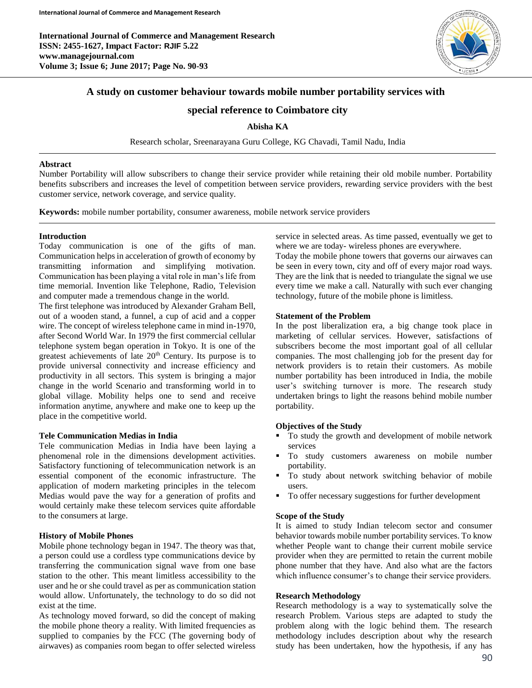

# **A study on customer behaviour towards mobile number portability services with**

## **special reference to Coimbatore city**

### **Abisha KA**

Research scholar, Sreenarayana Guru College, KG Chavadi, Tamil Nadu, India

#### **Abstract**

Number Portability will allow subscribers to change their service provider while retaining their old mobile number. Portability benefits subscribers and increases the level of competition between service providers, rewarding service providers with the best customer service, network coverage, and service quality.

**Keywords:** mobile number portability, consumer awareness, mobile network service providers

### **Introduction**

Today communication is one of the gifts of man. Communication helps in acceleration of growth of economy by transmitting information and simplifying motivation. Communication has been playing a vital role in man's life from time memorial. Invention like Telephone, Radio, Television and computer made a tremendous change in the world.

The first telephone was introduced by Alexander Graham Bell, out of a wooden stand, a funnel, a cup of acid and a copper wire. The concept of wireless telephone came in mind in-1970, after Second World War. In 1979 the first commercial cellular telephone system began operation in Tokyo. It is one of the greatest achievements of late 20<sup>th</sup> Century. Its purpose is to provide universal connectivity and increase efficiency and productivity in all sectors. This system is bringing a major change in the world Scenario and transforming world in to global village. Mobility helps one to send and receive information anytime, anywhere and make one to keep up the place in the competitive world.

### **Tele Communication Medias in India**

Tele communication Medias in India have been laying a phenomenal role in the dimensions development activities. Satisfactory functioning of telecommunication network is an essential component of the economic infrastructure. The application of modern marketing principles in the telecom Medias would pave the way for a generation of profits and would certainly make these telecom services quite affordable to the consumers at large.

#### **History of Mobile Phones**

Mobile phone technology began in 1947. The theory was that, a person could use a cordless type communications device by transferring the communication signal wave from one base station to the other. This meant limitless accessibility to the user and he or she could travel as per as communication station would allow. Unfortunately, the technology to do so did not exist at the time.

As technology moved forward, so did the concept of making the mobile phone theory a reality. With limited frequencies as supplied to companies by the FCC (The governing body of airwaves) as companies room began to offer selected wireless service in selected areas. As time passed, eventually we get to where we are today- wireless phones are everywhere.

Today the mobile phone towers that governs our airwaves can be seen in every town, city and off of every major road ways. They are the link that is needed to triangulate the signal we use every time we make a call. Naturally with such ever changing technology, future of the mobile phone is limitless.

#### **Statement of the Problem**

In the post liberalization era, a big change took place in marketing of cellular services. However, satisfactions of subscribers become the most important goal of all cellular companies. The most challenging job for the present day for network providers is to retain their customers. As mobile number portability has been introduced in India, the mobile user's switching turnover is more. The research study undertaken brings to light the reasons behind mobile number portability.

#### **Objectives of the Study**

- To study the growth and development of mobile network services
- To study customers awareness on mobile number portability.
- To study about network switching behavior of mobile users.
- To offer necessary suggestions for further development

#### **Scope of the Study**

It is aimed to study Indian telecom sector and consumer behavior towards mobile number portability services. To know whether People want to change their current mobile service provider when they are permitted to retain the current mobile phone number that they have. And also what are the factors which influence consumer's to change their service providers.

#### **Research Methodology**

Research methodology is a way to systematically solve the research Problem. Various steps are adapted to study the problem along with the logic behind them. The research methodology includes description about why the research study has been undertaken, how the hypothesis, if any has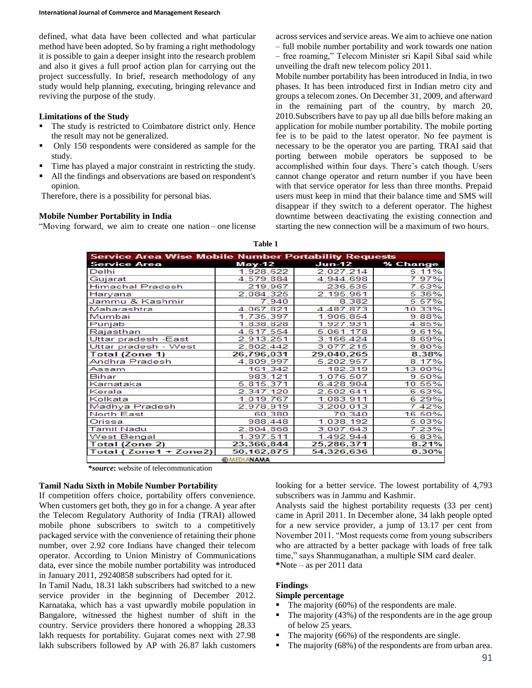defined, what data have been collected and what particular method have been adopted. So by framing a right methodology it is possible to gain a deeper insight into the research problem and also it gives a full proof action plan for carrying out the project successfully. In brief, research methodology of any study would help planning, executing, bringing relevance and reviving the purpose of the study.

#### **Limitations of the Study**

- The study is restricted to Coimbatore district only. Hence the result may not be generalized.
- Only 150 respondents were considered as sample for the study.
- Time has played a major constraint in restricting the study.
- All the findings and observations are based on respondent's opinion.

Therefore, there is a possibility for personal bias.

#### **Mobile Number Portability in India**

"Moving forward, we aim to create one nation – one license

across services and service areas. We aim to achieve one nation – full mobile number portability and work towards one nation – free roaming," Telecom Minister sri Kapil Sibal said while unveiling the draft new telecom policy 2011.

Mobile number portability has been introduced in India, in two phases. It has been introduced first in Indian metro city and groups a telecom zones. On December 31, 2009, and afterward in the remaining part of the country, by march 20, 2010.Subscribers have to pay up all due bills before making an application for mobile number portability. The mobile porting fee is to be paid to the latest operator. No fee payment is necessary to be the operator you are parting. TRAI said that porting between mobile operators be supposed to be accomplished within four days. There's catch though. Users cannot change operator and return number if you have been with that service operator for less than three months. Prepaid users must keep in mind that their balance time and SMS will disappear if they switch to a deferent operator. The highest downtime between deactivating the existing connection and starting the new connection will be a maximum of two hours.

|  | able |  |
|--|------|--|
|--|------|--|

| <b>Service Area Wise Mobile Number Portability Requests</b> |              |            |                 |
|-------------------------------------------------------------|--------------|------------|-----------------|
| <b>Service Area</b>                                         | $May-12$     |            | Jun-12 % Change |
| Delhi                                                       | 1,928,622    | 2.027.214  | 5.11%           |
| Gujarat                                                     | 4.579.884    | 4,944,698  | 7.97%           |
| Himachal Pradesh                                            | 219.967      | 236,535    | 7.53%           |
| Haryana                                                     | 2.084.325    | 2.195.961  | 5.36%           |
| Jammu & Kashmir                                             | 7.940        | 8.382      | 5.57%           |
| Maharashtra                                                 | 4.067.821    | 4.487.873  | 10.33%          |
| Mumbai                                                      | 1.735.397    | 1,906,854  | 9.88%           |
| Punjab                                                      | 1,838,828    | 1.927.931  | 4.85%           |
| Rajasthan                                                   | 4.617.554    | 5.061.178  | 9.61%           |
| Uttar pradesh -East                                         | 2.913.251    | 3.166.424  | 8.69%           |
| Uttar pradesh - West                                        | 2.802.442    | 3.077.215  | 9.80%           |
| Total (Zone 1)                                              | 26.796.031   | 29,040,265 | 8.38%           |
| Andhra Pradesh                                              | 4.809.997    | 5.202.957  | 8.17%           |
| Assam                                                       | 161.342      | 182,319    | 13.00%          |
| Bihar                                                       | 983.121      | 1.076.507  | 9.50%           |
| Karnataka                                                   | 5.815.371    | 6.428.904  | 10.55%          |
| Kerala                                                      | 2.347.120    | 2,502,641  | 6.63%           |
| Kolkata                                                     | 1.019.767    | 1.083.911  | 6.29%           |
| Madhya Pradesh                                              | 2.978.919    | 3,200,013  | 7.42%           |
| North East                                                  | 60.380       | 70,340     | 16.50%          |
| Orissa                                                      | 988,448      | 1.038.192  | 5.03%           |
| Tamil Nadu                                                  | 2,804,868    | 3.007.643  | 7.23%           |
| West Bengal                                                 | 1.397.511    | 1.492.944  | 6.83%           |
| Total (Zone 2)                                              | 23,366,844   | 25,286,371 | 8.21%           |
| Total (Zone1 + Zone2)                                       | 50, 162, 875 | 54,326,636 | 8.30%           |

**\****source***:** website of telecommunication

#### **Tamil Nadu Sixth in Mobile Number Portability**

If competition offers choice, portability offers convenience. When customers get both, they go in for a change. A year after the Telecom Regulatory Authority of India (TRAI) allowed mobile phone subscribers to switch to a competitively packaged service with the convenience of retaining their phone number, over 2.92 core Indians have changed their telecom operator. According to Union Ministry of Communications data, ever since the mobile number portability was introduced in January 2011, 29240858 subscribers had opted for it.

In Tamil Nadu, 18.31 lakh subscribers had switched to a new service provider in the beginning of December 2012. Karnataka, which has a vast upwardly mobile population in Bangalore, witnessed the highest number of shift in the country. Service providers there honored a whopping 28.33 lakh requests for portability. Gujarat comes next with 27.98 lakh subscribers followed by AP with 26.87 lakh customers

looking for a better service. The lowest portability of 4,793 subscribers was in Jammu and Kashmir.

Analysts said the highest portability requests (33 per cent) came in April 2011. In December alone, 34 lakh people opted for a new service provider, a jump of 13.17 per cent from November 2011. "Most requests come from young subscribers who are attracted by a better package with loads of free talk time," says Shanmuganathan, a multiple SIM card dealer. **\***Note – as per 2011 data

#### **Findings**

#### **Simple percentage**

- The majority (60%) of the respondents are male.
- $\blacksquare$  The majority (43%) of the respondents are in the age group of below 25 years.
- The majority (66%) of the respondents are single.
- The majority (68%) of the respondents are from urban area.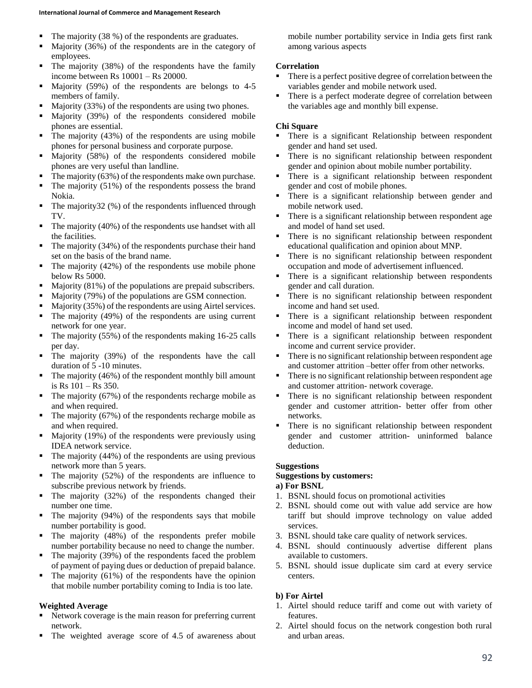- $\blacksquare$  The majority (38 %) of the respondents are graduates.
- Majority (36%) of the respondents are in the category of employees.
- $\blacksquare$  The majority (38%) of the respondents have the family income between Rs 10001 – Rs 20000.
- Majority (59%) of the respondents are belongs to 4-5 members of family.
- Majority (33%) of the respondents are using two phones.
- Majority (39%) of the respondents considered mobile phones are essential.
- $\blacksquare$  The majority (43%) of the respondents are using mobile phones for personal business and corporate purpose.
- Majority (58%) of the respondents considered mobile phones are very useful than landline.
- $\blacksquare$  The majority (63%) of the respondents make own purchase.
- $\blacksquare$  The majority (51%) of the respondents possess the brand Nokia.
- $\blacksquare$  The majority32 (%) of the respondents influenced through TV.
- $\blacksquare$  The majority (40%) of the respondents use handset with all the facilities.
- The majority (34%) of the respondents purchase their hand set on the basis of the brand name.
- $\blacksquare$  The majority (42%) of the respondents use mobile phone below Rs 5000.
- $\blacksquare$  Majority (81%) of the populations are prepaid subscribers.
- Majority (79%) of the populations are GSM connection.
- Majority (35%) of the respondents are using Airtel services.
- The majority (49%) of the respondents are using current network for one year.
- $\blacksquare$  The majority (55%) of the respondents making 16-25 calls per day.
- The majority (39%) of the respondents have the call duration of 5 -10 minutes.
- $\blacksquare$  The majority (46%) of the respondent monthly bill amount is Rs 101 – Rs 350.
- $\blacksquare$  The majority (67%) of the respondents recharge mobile as and when required.
- $\blacksquare$  The majority (67%) of the respondents recharge mobile as and when required.
- $\blacksquare$  Majority (19%) of the respondents were previously using IDEA network service.
- $\blacksquare$  The majority (44%) of the respondents are using previous network more than 5 years.
- $\blacksquare$  The majority (52%) of the respondents are influence to subscribe previous network by friends.
- $\blacksquare$  The majority (32%) of the respondents changed their number one time.
- The majority (94%) of the respondents says that mobile number portability is good.
- The majority (48%) of the respondents prefer mobile number portability because no need to change the number.
- $\blacksquare$  The majority (39%) of the respondents faced the problem of payment of paying dues or deduction of prepaid balance.
- $\blacksquare$  The majority (61%) of the respondents have the opinion that mobile number portability coming to India is too late.

# **Weighted Average**

- Network coverage is the main reason for preferring current network.
- The weighted average score of 4.5 of awareness about

mobile number portability service in India gets first rank among various aspects

### **Correlation**

- There is a perfect positive degree of correlation between the variables gender and mobile network used.
- There is a perfect moderate degree of correlation between the variables age and monthly bill expense.

### **Chi Square**

- There is a significant Relationship between respondent gender and hand set used.
- There is no significant relationship between respondent gender and opinion about mobile number portability.
- There is a significant relationship between respondent gender and cost of mobile phones.
- There is a significant relationship between gender and mobile network used.
- There is a significant relationship between respondent age and model of hand set used.
- **There is no significant relationship between respondent** educational qualification and opinion about MNP.
- **There is no significant relationship between respondent** occupation and mode of advertisement influenced.
- There is a significant relationship between respondents gender and call duration.
- There is no significant relationship between respondent income and hand set used.
- There is a significant relationship between respondent income and model of hand set used.
- There is a significant relationship between respondent income and current service provider.
- There is no significant relationship between respondent age and customer attrition –better offer from other networks.
- There is no significant relationship between respondent age and customer attrition- network coverage.
- There is no significant relationship between respondent gender and customer attrition- better offer from other networks.
- There is no significant relationship between respondent gender and customer attrition- uninformed balance deduction.

### **Suggestions**

### **Suggestions by customers:**

- **a) For BSNL**
- 1. BSNL should focus on promotional activities
- 2. BSNL should come out with value add service are how tariff but should improve technology on value added services.
- 3. BSNL should take care quality of network services.
- 4. BSNL should continuously advertise different plans available to customers.
- 5. BSNL should issue duplicate sim card at every service centers.

### **b) For Airtel**

- 1. Airtel should reduce tariff and come out with variety of features.
- 2. Airtel should focus on the network congestion both rural and urban areas.